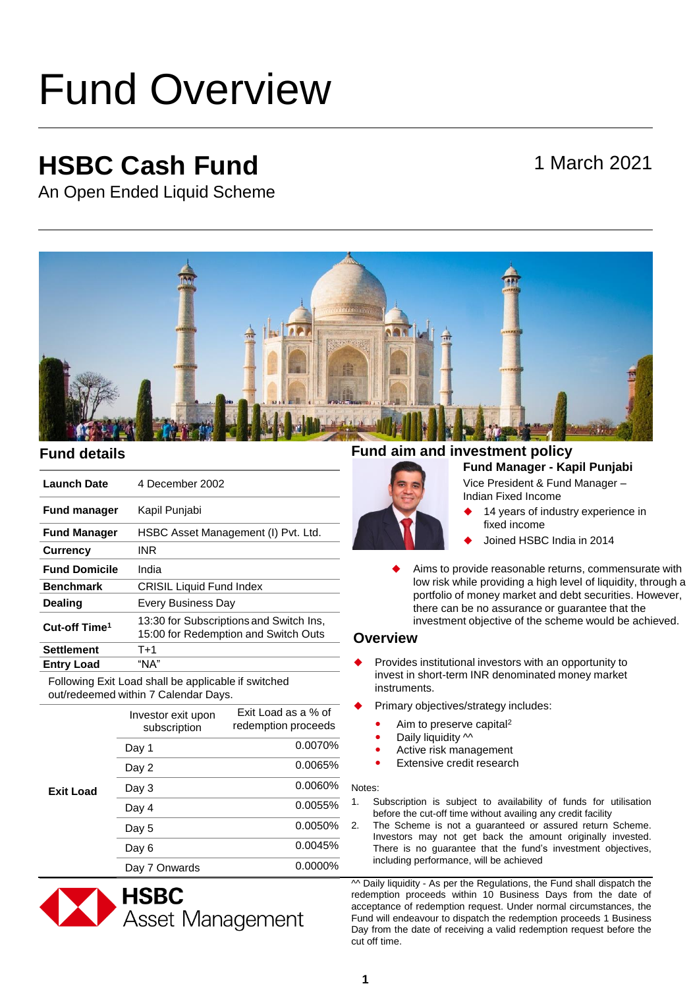# Fund Overview

## **HSBC Cash Fund**

### 1 March 2021

An Open Ended Liquid Scheme



| <b>Launch Date</b>        | 4 December 2002                                                                 |
|---------------------------|---------------------------------------------------------------------------------|
| <b>Fund manager</b>       | Kapil Punjabi                                                                   |
| <b>Fund Manager</b>       | HSBC Asset Management (I) Pvt. Ltd.                                             |
| <b>Currency</b>           | <b>INR</b>                                                                      |
| <b>Fund Domicile</b>      | India                                                                           |
| <b>Benchmark</b>          | <b>CRISIL Liquid Fund Index</b>                                                 |
| <b>Dealing</b>            | <b>Every Business Day</b>                                                       |
| Cut-off Time <sup>1</sup> | 13:30 for Subscriptions and Switch Ins,<br>15:00 for Redemption and Switch Outs |
| <b>Settlement</b>         | $T+1$                                                                           |
| <b>Entry Load</b>         | "NA"                                                                            |

Following Exit Load shall be applicable if switched out/redeemed within 7 Calendar Days.

| Exit Load | Investor exit upon<br>subscription | Exit Load as a % of<br>redemption proceeds |
|-----------|------------------------------------|--------------------------------------------|
|           | Day 1                              | 0.0070%                                    |
|           | Day 2                              | 0.0065%                                    |
|           | Day 3                              | 0.0060%                                    |
|           | Day 4                              | 0.0055%                                    |
|           | Day 5                              | 0.0050%                                    |
|           | Day 6                              | 0.0045%                                    |
|           | Day 7 Onwards                      | 0.0000%                                    |



#### **Fund details Fund aim and investment policy**

#### **Fund Manager - Kapil Punjabi**  Vice President & Fund Manager –

Indian Fixed Income

- 14 years of industry experience in fixed income
- Joined HSBC India in 2014
- Aims to provide reasonable returns, commensurate with low risk while providing a high level of liquidity, through a portfolio of money market and debt securities. However, there can be no assurance or guarantee that the investment objective of the scheme would be achieved.

#### **Overview**

- Provides institutional investors with an opportunity to invest in short-term INR denominated money market instruments.
- Primary objectives/strategy includes:
	- Aim to preserve capital<sup>2</sup>
	- Daily liquidity  $\sim$
	- Active risk management
	- Extensive credit research

#### Notes:

- 1. Subscription is subject to availability of funds for utilisation before the cut-off time without availing any credit facility
- 2. The Scheme is not a guaranteed or assured return Scheme. Investors may not get back the amount originally invested. There is no guarantee that the fund's investment objectives, including performance, will be achieved

 $\sim$  Daily liquidity - As per the Regulations, the Fund shall dispatch the redemption proceeds within 10 Business Days from the date of acceptance of redemption request. Under normal circumstances, the Fund will endeavour to dispatch the redemption proceeds 1 Business Day from the date of receiving a valid redemption request before the cut off time.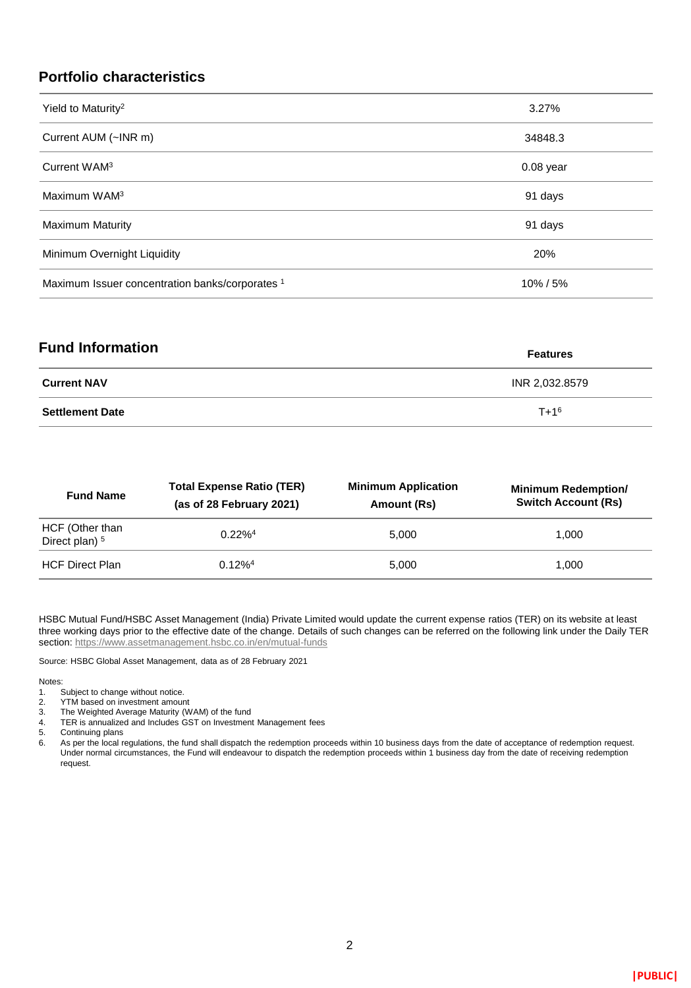#### **Portfolio characteristics**

| Yield to Maturity <sup>2</sup>                  | 3.27%       |
|-------------------------------------------------|-------------|
| Current AUM (~INR m)                            | 34848.3     |
| Current WAM <sup>3</sup>                        | $0.08$ year |
| Maximum WAM <sup>3</sup>                        | 91 days     |
| <b>Maximum Maturity</b>                         | 91 days     |
| Minimum Overnight Liquidity                     | 20%         |
| Maximum Issuer concentration banks/corporates 1 | 10%/5%      |

| <b>Fund Information</b> | <b>Features</b> |  |
|-------------------------|-----------------|--|
| <b>Current NAV</b>      | INR 2,032.8579  |  |
| <b>Settlement Date</b>  | $T + 1^6$       |  |

| <b>Fund Name</b>                             | <b>Total Expense Ratio (TER)</b><br>(as of 28 February 2021) | <b>Minimum Application</b><br>Amount (Rs) | <b>Minimum Redemption/</b><br><b>Switch Account (Rs)</b> |
|----------------------------------------------|--------------------------------------------------------------|-------------------------------------------|----------------------------------------------------------|
| HCF (Other than<br>Direct plan) <sup>5</sup> | $0.22\%4$                                                    | 5.000                                     | 1.000                                                    |
| <b>HCF Direct Plan</b>                       | $0.12\%$ <sup>4</sup>                                        | 5.000                                     | 1.000                                                    |

HSBC Mutual Fund/HSBC Asset Management (India) Private Limited would update the current expense ratios (TER) on its website at least three working days prior to the effective date of the change. Details of such changes can be referred on the following link under the Daily TER section:<https://www.assetmanagement.hsbc.co.in/en/mutual-funds>

Source: HSBC Global Asset Management, data as of 28 February 2021

#### Notes:

1. Subject to change without notice.<br>2. YTM based on investment amour

- 2. YTM based on investment amount<br>3. The Weighted Average Maturity (W
- 3. The Weighted Average Maturity (WAM) of the fund
- 4. TER is annualized and Includes GST on Investment Management fees
- 5. Continuing plans
- 6. As per the local regulations, the fund shall dispatch the redemption proceeds within 10 business days from the date of acceptance of redemption request. Under normal circumstances, the Fund will endeavour to dispatch the redemption proceeds within 1 business day from the date of receiving redemption request.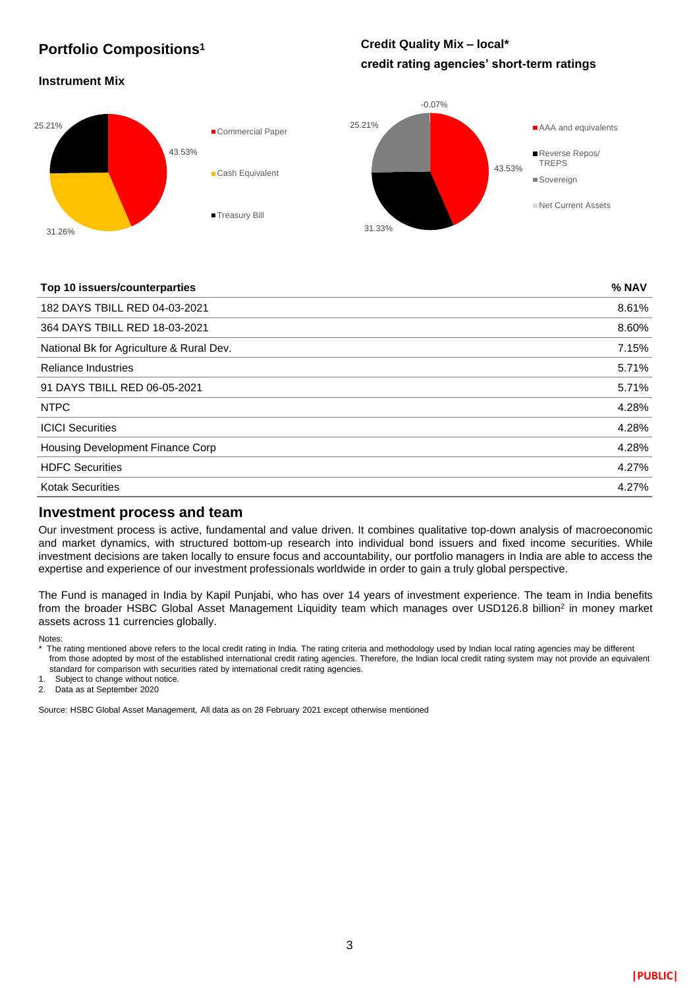#### **Portfolio Compositions<sup>1</sup>**

#### **Credit Quality Mix – local\* credit rating agencies' short-term ratings**

#### **Instrument Mix**



#### **Top 10 issuers/counterparties % NAV**

| 182 DAYS TBILL RED 04-03-2021            | 8.61% |
|------------------------------------------|-------|
| 364 DAYS TBILL RED 18-03-2021            | 8.60% |
| National Bk for Agriculture & Rural Dev. | 7.15% |
| <b>Reliance Industries</b>               | 5.71% |
| 91 DAYS TBILL RED 06-05-2021             | 5.71% |
| <b>NTPC</b>                              | 4.28% |
| <b>ICICI Securities</b>                  | 4.28% |
| Housing Development Finance Corp         | 4.28% |
| <b>HDFC Securities</b>                   | 4.27% |
| <b>Kotak Securities</b>                  | 4.27% |
|                                          |       |

#### **Investment process and team**

Our investment process is active, fundamental and value driven. It combines qualitative top-down analysis of macroeconomic and market dynamics, with structured bottom-up research into individual bond issuers and fixed income securities. While investment decisions are taken locally to ensure focus and accountability, our portfolio managers in India are able to access the expertise and experience of our investment professionals worldwide in order to gain a truly global perspective.

The Fund is managed in India by Kapil Punjabi, who has over 14 years of investment experience. The team in India benefits from the broader HSBC Global Asset Management Liquidity team which manages over USD126.8 billion<sup>2</sup> in money market assets across 11 currencies globally.

Notes:

- \* The rating mentioned above refers to the local credit rating in India. The rating criteria and methodology used by Indian local rating agencies may be different from those adopted by most of the established international credit rating agencies. Therefore, the Indian local credit rating system may not provide an equivalent standard for comparison with securities rated by international credit rating agencies.
- 1. Subject to change without notice.

2. Data as at September 2020

Source: HSBC Global Asset Management, All data as on 28 February 2021 except otherwise mentioned